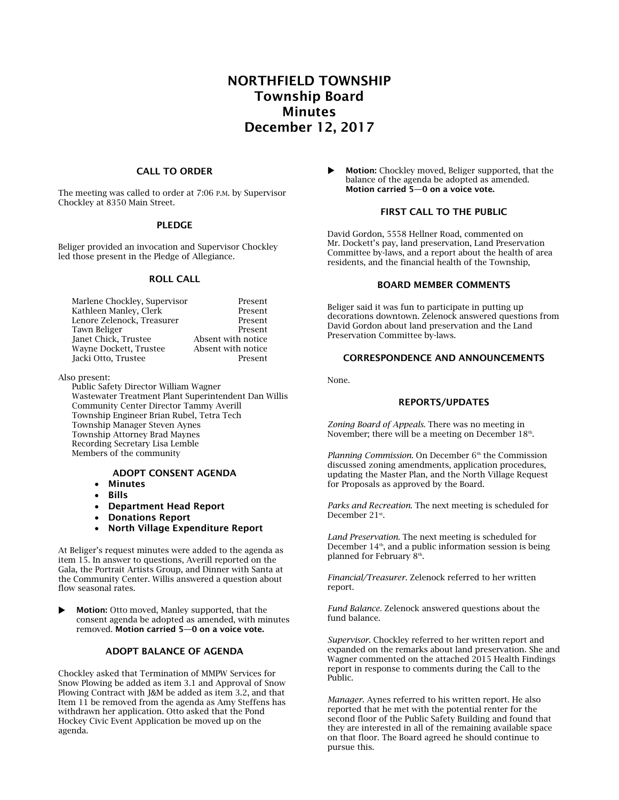# NORTHFIELD TOWNSHIP Township Board Minutes December 12, 2017

#### CALL TO ORDER

The meeting was called to order at 7:06 P.M. by Supervisor Chockley at 8350 Main Street.

#### PLEDGE

Beliger provided an invocation and Supervisor Chockley led those present in the Pledge of Allegiance.

#### ROLL CALL

| Marlene Chockley, Supervisor | Present            |
|------------------------------|--------------------|
| Kathleen Manley, Clerk       | Present            |
| Lenore Zelenock, Treasurer   | Present            |
| Tawn Beliger                 | Present            |
| Janet Chick, Trustee         | Absent with notice |
| Wayne Dockett, Trustee       | Absent with notice |
| Jacki Otto, Trustee          | Present            |

Also present:

Public Safety Director William Wagner Wastewater Treatment Plant Superintendent Dan Willis Community Center Director Tammy Averill Township Engineer Brian Rubel, Tetra Tech Township Manager Steven Aynes Township Attorney Brad Maynes Recording Secretary Lisa Lemble Members of the community

# ADOPT CONSENT AGENDA

- Minutes
- Bills
- Department Head Report
- Donations Report
- North Village Expenditure Report

At Beliger's request minutes were added to the agenda as item 15. In answer to questions, Averill reported on the Gala, the Portrait Artists Group, and Dinner with Santa at the Community Center. Willis answered a question about flow seasonal rates.

Motion: Otto moved, Manley supported, that the consent agenda be adopted as amended, with minutes removed. Motion carried 5—0 on a voice vote.

### ADOPT BALANCE OF AGENDA

Chockley asked that Termination of MMPW Services for Snow Plowing be added as item 3.1 and Approval of Snow Plowing Contract with J&M be added as item 3.2, and that Item 11 be removed from the agenda as Amy Steffens has withdrawn her application. Otto asked that the Pond Hockey Civic Event Application be moved up on the agenda.

 Motion: Chockley moved, Beliger supported, that the balance of the agenda be adopted as amended. Motion carried 5—0 on a voice vote.

### FIRST CALL TO THE PUBLIC

David Gordon, 5558 Hellner Road, commented on Mr. Dockett's pay, land preservation, Land Preservation Committee by-laws, and a report about the health of area residents, and the financial health of the Township,

### BOARD MEMBER COMMENTS

Beliger said it was fun to participate in putting up decorations downtown. Zelenock answered questions from David Gordon about land preservation and the Land Preservation Committee by-laws.

### CORRESPONDENCE AND ANNOUNCEMENTS

None.

### REPORTS/UPDATES

*Zoning Board of Appeals*. There was no meeting in November; there will be a meeting on December  $18<sup>th</sup>$ .

*Planning Commission*. On December 6<sup>th</sup> the Commission discussed zoning amendments, application procedures, updating the Master Plan, and the North Village Request for Proposals as approved by the Board.

*Parks and Recreation*. The next meeting is scheduled for December 21st.

*Land Preservation*. The next meeting is scheduled for December  $14<sup>th</sup>$ , and a public information session is being planned for February 8th .

*Financial/Treasurer.* Zelenock referred to her written report.

*Fund Balance.* Zelenock answered questions about the fund balance.

*Supervisor*. Chockley referred to her written report and expanded on the remarks about land preservation. She and Wagner commented on the attached 2015 Health Findings report in response to comments during the Call to the Public.

*Manager*. Aynes referred to his written report. He also reported that he met with the potential renter for the second floor of the Public Safety Building and found that they are interested in all of the remaining available space on that floor. The Board agreed he should continue to pursue this.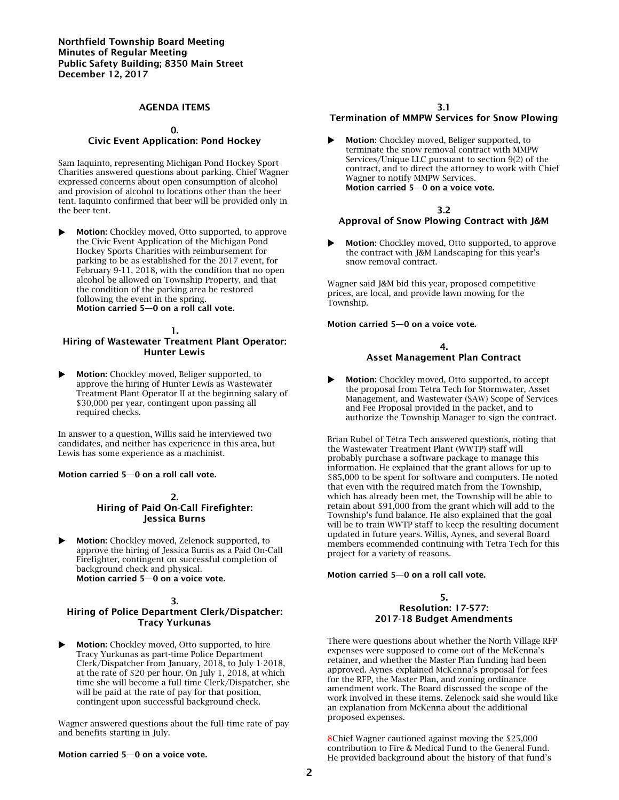### AGENDA ITEMS

#### 0.

### Civic Event Application: Pond Hockey

Sam Iaquinto, representing Michigan Pond Hockey Sport Charities answered questions about parking. Chief Wagner expressed concerns about open consumption of alcohol and provision of alcohol to locations other than the beer tent. Iaquinto confirmed that beer will be provided only in the beer tent.

 Motion: Chockley moved, Otto supported, to approve the Civic Event Application of the Michigan Pond Hockey Sports Charities with reimbursement for parking to be as established for the 2017 event, for February 9-11, 2018, with the condition that no open alcohol be allowed on Township Property, and that the condition of the parking area be restored following the event in the spring. Motion carried 5—0 on a roll call vote.

#### 1. Hiring of Wastewater Treatment Plant Operator: Hunter Lewis

 Motion: Chockley moved, Beliger supported, to approve the hiring of Hunter Lewis as Wastewater Treatment Plant Operator II at the beginning salary of \$30,000 per year, contingent upon passing all required checks.

In answer to a question, Willis said he interviewed two candidates, and neither has experience in this area, but Lewis has some experience as a machinist.

#### Motion carried 5—0 on a roll call vote.

#### 2. Hiring of Paid On-Call Firefighter: Jessica Burns

**Motion:** Chockley moved, Zelenock supported, to approve the hiring of Jessica Burns as a Paid On-Call Firefighter, contingent on successful completion of background check and physical. Motion carried 5—0 on a voice vote.

### 3. Hiring of Police Department Clerk/Dispatcher: Tracy Yurkunas

Motion: Chockley moved, Otto supported, to hire Tracy Yurkunas as part-time Police Department Clerk/Dispatcher from January, 2018, to July 1, 2018, at the rate of \$20 per hour. On July 1, 2018, at which time she will become a full time Clerk/Dispatcher, she will be paid at the rate of pay for that position, contingent upon successful background check.

Wagner answered questions about the full-time rate of pay and benefits starting in July.

#### Motion carried 5—0 on a voice vote.

### Termination of MMPW Services for Snow Plowing

 Motion: Chockley moved, Beliger supported, to terminate the snow removal contract with MMPW Services/Unique LLC pursuant to section 9(2) of the contract, and to direct the attorney to work with Chief Wagner to notify MMPW Services. Motion carried 5—0 on a voice vote.

### 3.2 Approval of Snow Plowing Contract with J&M

 Motion: Chockley moved, Otto supported, to approve the contract with J&M Landscaping for this year's snow removal contract.

Wagner said J&M bid this year, proposed competitive prices, are local, and provide lawn mowing for the Township.

Motion carried 5—0 on a voice vote.

#### 4. Asset Management Plan Contract

**Motion:** Chockley moved, Otto supported, to accept the proposal from Tetra Tech for Stormwater, Asset Management, and Wastewater (SAW) Scope of Services and Fee Proposal provided in the packet, and to authorize the Township Manager to sign the contract.

Brian Rubel of Tetra Tech answered questions, noting that the Wastewater Treatment Plant (WWTP) staff will probably purchase a software package to manage this information. He explained that the grant allows for up to \$85,000 to be spent for software and computers. He noted that even with the required match from the Township, which has already been met, the Township will be able to retain about \$91,000 from the grant which will add to the Township's fund balance. He also explained that the goal will be to train WWTP staff to keep the resulting document updated in future years. Willis, Aynes, and several Board members ecommended continuing with Tetra Tech for this project for a variety of reasons.

#### Motion carried 5—0 on a roll call vote.

#### 5. Resolution: 17-577: 2017-18 Budget Amendments

There were questions about whether the North Village RFP expenses were supposed to come out of the McKenna's retainer, and whether the Master Plan funding had been approved. Aynes explained McKenna's proposal for fees for the RFP, the Master Plan, and zoning ordinance amendment work. The Board discussed the scope of the work involved in these items. Zelenock said she would like an explanation from McKenna about the additional proposed expenses.

8Chief Wagner cautioned against moving the \$25,000 contribution to Fire & Medical Fund to the General Fund. He provided background about the history of that fund's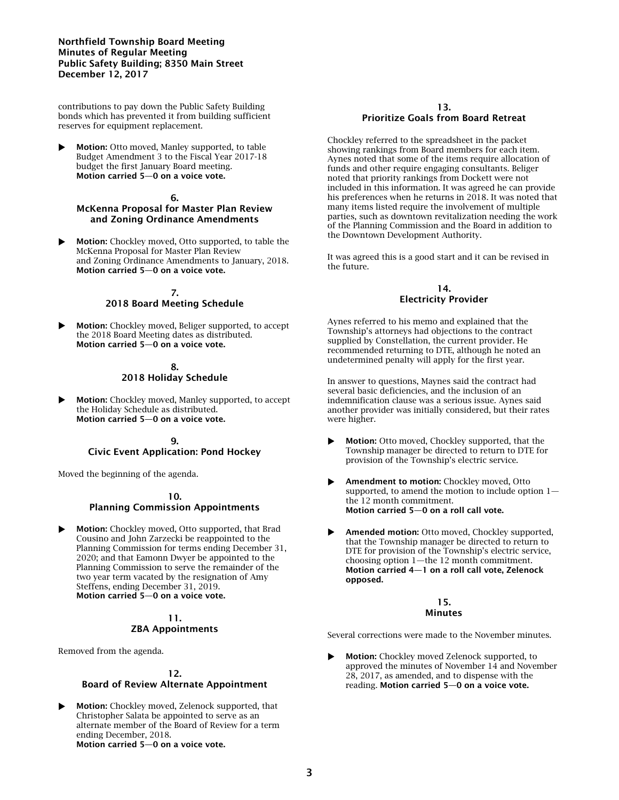### Northfield Township Board Meeting Minutes of Regular Meeting Public Safety Building; 8350 Main Street December 12, 2017

contributions to pay down the Public Safety Building bonds which has prevented it from building sufficient reserves for equipment replacement.

 Motion: Otto moved, Manley supported, to table Budget Amendment 3 to the Fiscal Year 2017-18 budget the first January Board meeting. Motion carried 5—0 on a voice vote.

### 6.

# McKenna Proposal for Master Plan Review and Zoning Ordinance Amendments

**Motion:** Chockley moved, Otto supported, to table the McKenna Proposal for Master Plan Review and Zoning Ordinance Amendments to January, 2018. Motion carried 5—0 on a voice vote.

#### 7. 2018 Board Meeting Schedule

 Motion: Chockley moved, Beliger supported, to accept the 2018 Board Meeting dates as distributed. Motion carried 5—0 on a voice vote.

### 8. 2018 Holiday Schedule

 Motion: Chockley moved, Manley supported, to accept the Holiday Schedule as distributed. Motion carried 5—0 on a voice vote.

#### $\mathbf{Q}$ Civic Event Application: Pond Hockey

Moved the beginning of the agenda.

#### 10.

# Planning Commission Appointments

Motion: Chockley moved, Otto supported, that Brad Cousino and John Zarzecki be reappointed to the Planning Commission for terms ending December 31, 2020; and that Eamonn Dwyer be appointed to the Planning Commission to serve the remainder of the two year term vacated by the resignation of Amy Steffens, ending December 31, 2019. Motion carried 5—0 on a voice vote.

### 11. ZBA Appointments

Removed from the agenda.

# 12.

### Board of Review Alternate Appointment

**Motion:** Chockley moved, Zelenock supported, that Christopher Salata be appointed to serve as an alternate member of the Board of Review for a term ending December, 2018. Motion carried 5—0 on a voice vote.

#### 13. Prioritize Goals from Board Retreat

Chockley referred to the spreadsheet in the packet showing rankings from Board members for each item. Aynes noted that some of the items require allocation of funds and other require engaging consultants. Beliger noted that priority rankings from Dockett were not included in this information. It was agreed he can provide his preferences when he returns in 2018. It was noted that many items listed require the involvement of multiple parties, such as downtown revitalization needing the work of the Planning Commission and the Board in addition to the Downtown Development Authority.

It was agreed this is a good start and it can be revised in the future.

### 14. Electricity Provider

Aynes referred to his memo and explained that the Township's attorneys had objections to the contract supplied by Constellation, the current provider. He recommended returning to DTE, although he noted an undetermined penalty will apply for the first year.

In answer to questions, Maynes said the contract had several basic deficiencies, and the inclusion of an indemnification clause was a serious issue. Aynes said another provider was initially considered, but their rates were higher.

- Motion: Otto moved, Chockley supported, that the Township manager be directed to return to DTE for provision of the Township's electric service.
- Amendment to motion: Chockley moved, Otto supported, to amend the motion to include option 1 the 12 month commitment. Motion carried 5—0 on a roll call vote.
- Amended motion: Otto moved, Chockley supported, that the Township manager be directed to return to DTE for provision of the Township's electric service, choosing option 1—the 12 month commitment. Motion carried 4—1 on a roll call vote, Zelenock opposed.

#### 15. Minutes

Several corrections were made to the November minutes.

 Motion: Chockley moved Zelenock supported, to approved the minutes of November 14 and November 28, 2017, as amended, and to dispense with the reading. Motion carried 5—0 on a voice vote.